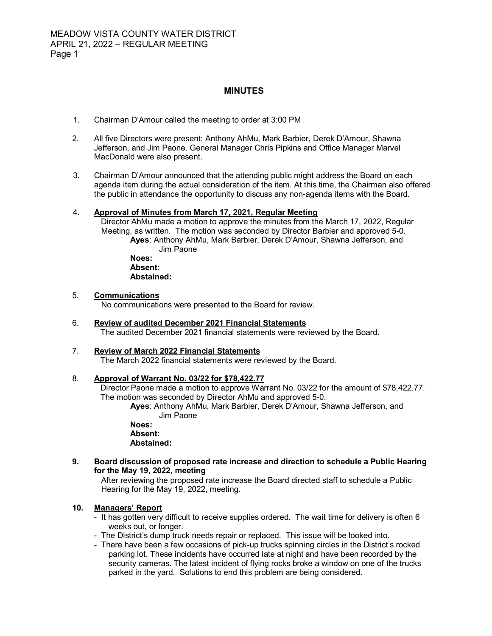# **MINUTES**

- 1. Chairman D'Amour called the meeting to order at 3:00 PM
- 2. All five Directors were present: Anthony AhMu, Mark Barbier, Derek D'Amour, Shawna Jefferson, and Jim Paone. General Manager Chris Pipkins and Office Manager Marvel MacDonald were also present.
- 3. Chairman D'Amour announced that the attending public might address the Board on each agenda item during the actual consideration of the item. At this time, the Chairman also offered the public in attendance the opportunity to discuss any non-agenda items with the Board.

### 4. **Approval of Minutes from March 17, 2021, Regular Meeting**

 Director AhMu made a motion to approve the minutes from the March 17, 2022, Regular Meeting, as written. The motion was seconded by Director Barbier and approved 5-0. **Ayes**: Anthony AhMu, Mark Barbier, Derek D'Amour, Shawna Jefferson, and

Jim Paone **Noes: Absent:** 

**Abstained:** 

#### 5. **Communications**

No communications were presented to the Board for review.

6. **Review of audited December 2021 Financial Statements** The audited December 2021 financial statements were reviewed by the Board.

# 7. **Review of March 2022 Financial Statements**

The March 2022 financial statements were reviewed by the Board.

#### 8. **Approval of Warrant No. 03/22 for \$78,422.77**

Director Paone made a motion to approve Warrant No. 03/22 for the amount of \$78,422.77. The motion was seconded by Director AhMu and approved 5-0.

**Ayes**: Anthony AhMu, Mark Barbier, Derek D'Amour, Shawna Jefferson, and Jim Paone

**Noes: Absent: Abstained:** 

**9. Board discussion of proposed rate increase and direction to schedule a Public Hearing for the May 19, 2022, meeting** 

 After reviewing the proposed rate increase the Board directed staff to schedule a Public Hearing for the May 19, 2022, meeting.

# **10. Managers' Report**

- It has gotten very difficult to receive supplies ordered. The wait time for delivery is often 6 weeks out, or longer.
- The District's dump truck needs repair or replaced. This issue will be looked into.
- There have been a few occasions of pick-up trucks spinning circles in the District's rocked parking lot. These incidents have occurred late at night and have been recorded by the security cameras. The latest incident of flying rocks broke a window on one of the trucks parked in the yard. Solutions to end this problem are being considered.